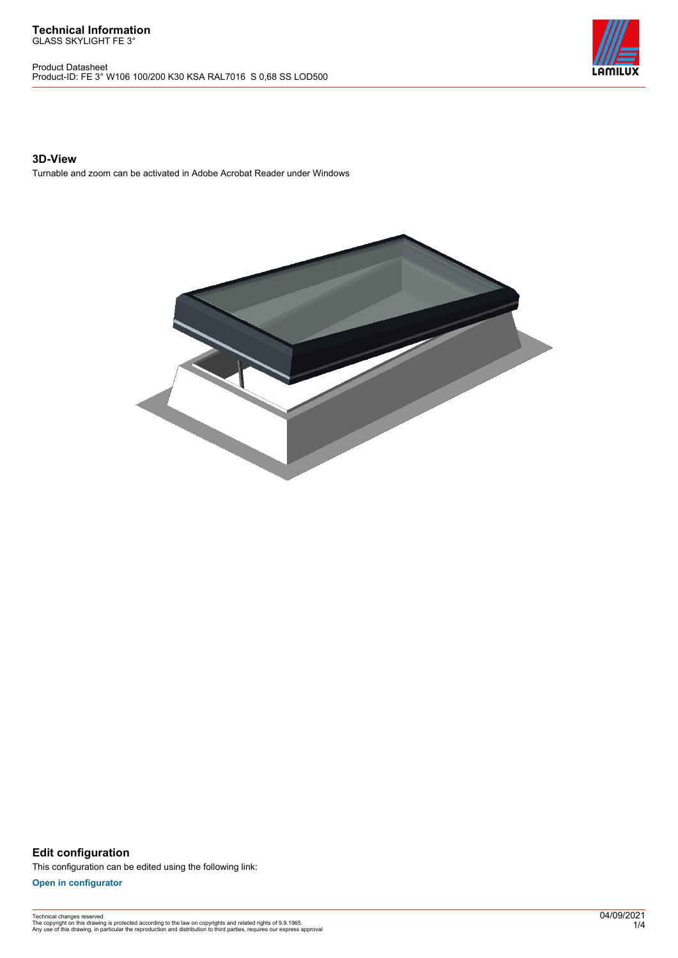Product Datasheet Product-ID: FE 3° W106 100/200 K30 KSA RAL7016 S 0,68 SS LOD500



### **3D-View**

Turnable and zoom can be activated in Adobe Acrobat Reader under Windows



**Edit configuration** This configuration can be edited using the following link:

**[Open in configurator](https://bimconfig.lamilux.com//?quickcode=OCMQAM)**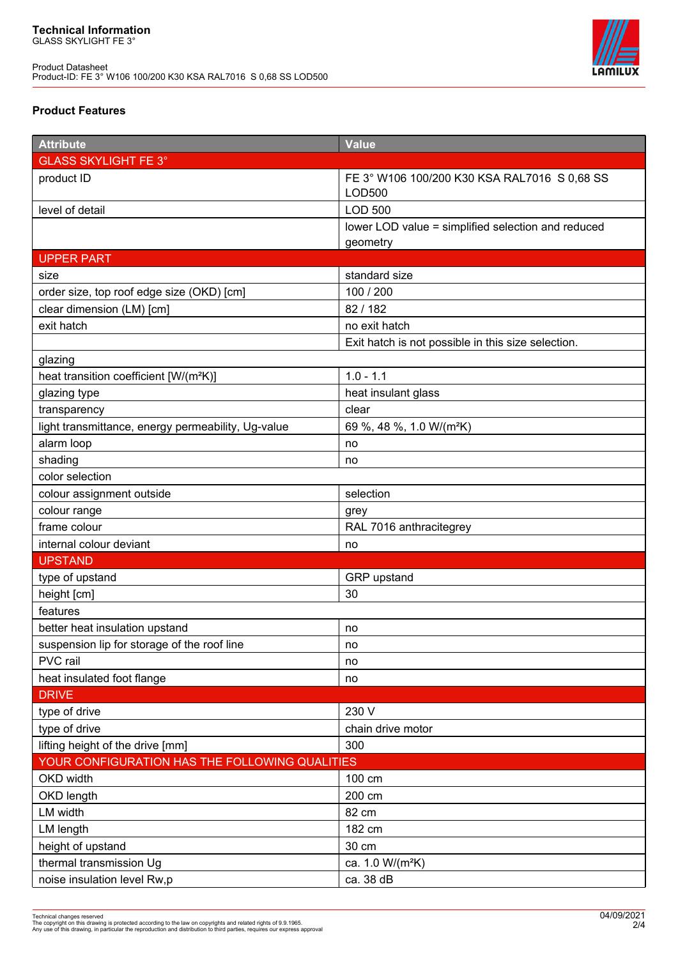

## **Product Features**

| <b>Attribute</b>                                   | <b>Value</b>                                           |  |
|----------------------------------------------------|--------------------------------------------------------|--|
| <b>GLASS SKYLIGHT FE 3°</b>                        |                                                        |  |
| product ID                                         | FE 3° W106 100/200 K30 KSA RAL7016 S 0,68 SS<br>LOD500 |  |
| level of detail                                    | <b>LOD 500</b>                                         |  |
|                                                    | lower LOD value = simplified selection and reduced     |  |
|                                                    | geometry                                               |  |
| <b>UPPER PART</b>                                  |                                                        |  |
| size                                               | standard size                                          |  |
| order size, top roof edge size (OKD) [cm]          | 100 / 200                                              |  |
| clear dimension (LM) [cm]                          | 82/182                                                 |  |
| exit hatch                                         | no exit hatch                                          |  |
|                                                    | Exit hatch is not possible in this size selection.     |  |
| glazing                                            |                                                        |  |
| heat transition coefficient [W/(m <sup>2</sup> K)] | $1.0 - 1.1$                                            |  |
| glazing type                                       | heat insulant glass                                    |  |
| transparency                                       | clear                                                  |  |
| light transmittance, energy permeability, Ug-value | 69 %, 48 %, 1.0 W/(m <sup>2</sup> K)                   |  |
| alarm loop                                         | no                                                     |  |
| shading                                            | no                                                     |  |
| color selection                                    |                                                        |  |
| colour assignment outside                          | selection                                              |  |
| colour range                                       | grey                                                   |  |
| frame colour                                       | RAL 7016 anthracitegrey                                |  |
| internal colour deviant                            | no                                                     |  |
| <b>UPSTAND</b>                                     |                                                        |  |
| type of upstand                                    | GRP upstand                                            |  |
| height [cm]                                        | 30                                                     |  |
| features                                           |                                                        |  |
| better heat insulation upstand                     | no                                                     |  |
| suspension lip for storage of the roof line        | no                                                     |  |
| PVC rail                                           | no                                                     |  |
| heat insulated foot flange                         | no                                                     |  |
| <b>DRIVE</b>                                       |                                                        |  |
| type of drive                                      | 230 V                                                  |  |
| type of drive                                      | chain drive motor                                      |  |
| lifting height of the drive [mm]                   | 300                                                    |  |
| YOUR CONFIGURATION HAS THE FOLLOWING QUALITIES     |                                                        |  |
| OKD width                                          | 100 cm                                                 |  |
| OKD length                                         | 200 cm                                                 |  |
| LM width                                           | 82 cm                                                  |  |
| <b>LM length</b>                                   | 182 cm                                                 |  |
| height of upstand                                  | 30 cm                                                  |  |
| thermal transmission Ug                            | ca. 1.0 W/(m <sup>2</sup> K)                           |  |
| noise insulation level Rw,p                        | ca. 38 dB                                              |  |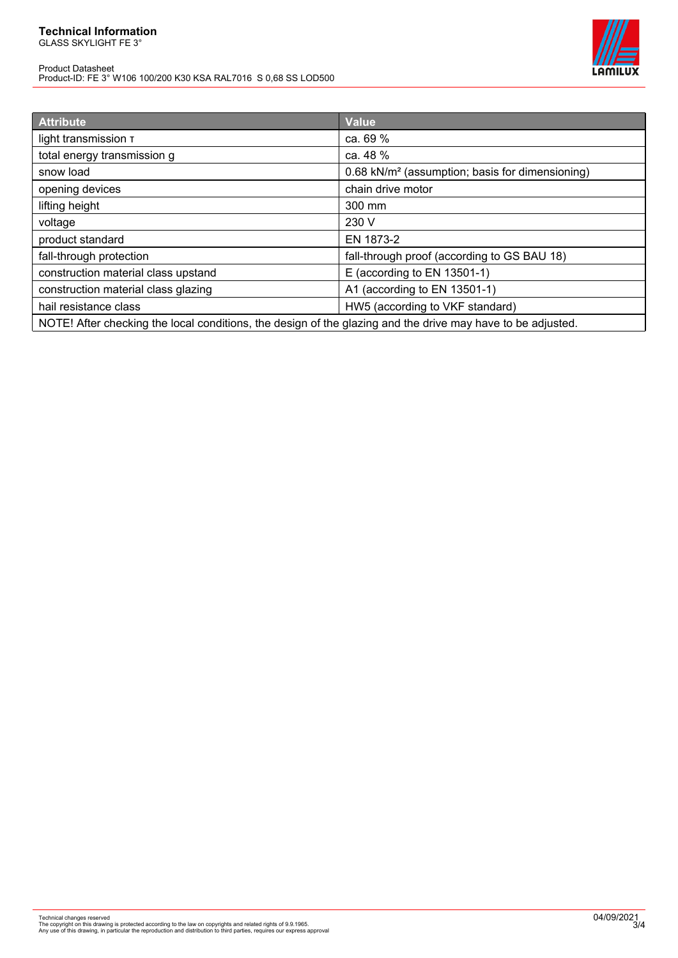# **Technical Information**

GLASS SKYLIGHT FE 3°

Product Datasheet Product-ID: FE 3° W106 100/200 K30 KSA RAL7016 S 0,68 SS LOD500



| <b>Attribute</b>                                                                                            | <b>Value</b>                                                |
|-------------------------------------------------------------------------------------------------------------|-------------------------------------------------------------|
| light transmission T                                                                                        | ca. 69 %                                                    |
| total energy transmission g                                                                                 | ca. 48 %                                                    |
| snow load                                                                                                   | 0.68 kN/m <sup>2</sup> (assumption; basis for dimensioning) |
| opening devices                                                                                             | chain drive motor                                           |
| lifting height                                                                                              | 300 mm                                                      |
| voltage                                                                                                     | 230 V                                                       |
| product standard                                                                                            | EN 1873-2                                                   |
| fall-through protection                                                                                     | fall-through proof (according to GS BAU 18)                 |
| construction material class upstand                                                                         | E (according to EN 13501-1)                                 |
| construction material class glazing                                                                         | A1 (according to EN 13501-1)                                |
| hail resistance class                                                                                       | HW5 (according to VKF standard)                             |
| NOTE! After checking the local conditions, the design of the glazing and the drive may have to be adjusted. |                                                             |